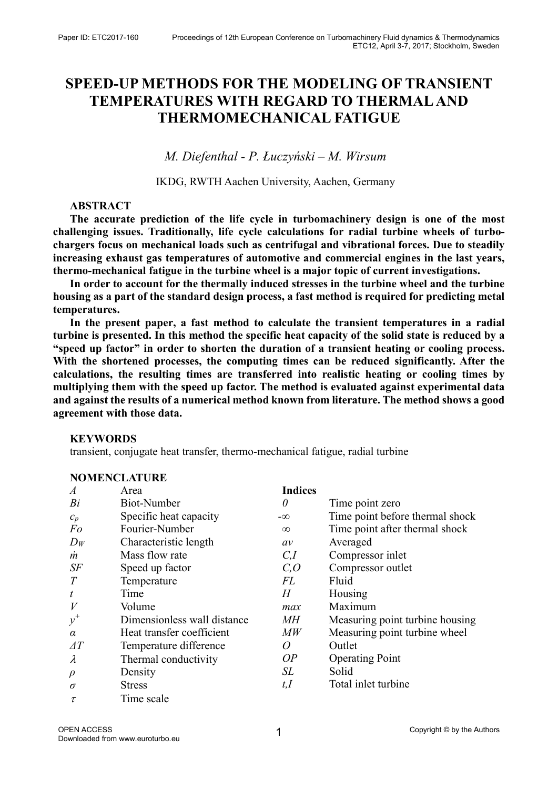# SPEED-UP METHODS FOR THE MODELING OF TRANSIENT TEMPERATURES WITH REGARD TO THERMAL AND THERMOMECHANICAL FATIGUE

M. Diefenthal - P. Łuczyński – M. Wirsum

IKDG, RWTH Aachen University, Aachen, Germany

# ABSTRACT

The accurate prediction of the life cycle in turbomachinery design is one of the most challenging issues. Traditionally, life cycle calculations for radial turbine wheels of turbochargers focus on mechanical loads such as centrifugal and vibrational forces. Due to steadily increasing exhaust gas temperatures of automotive and commercial engines in the last years, thermo-mechanical fatigue in the turbine wheel is a major topic of current investigations.

In order to account for the thermally induced stresses in the turbine wheel and the turbine housing as a part of the standard design process, a fast method is required for predicting metal temperatures.

In the present paper, a fast method to calculate the transient temperatures in a radial turbine is presented. In this method the specific heat capacity of the solid state is reduced by a "speed up factor" in order to shorten the duration of a transient heating or cooling process. With the shortened processes, the computing times can be reduced significantly. After the calculations, the resulting times are transferred into realistic heating or cooling times by multiplying them with the speed up factor. The method is evaluated against experimental data and against the results of a numerical method known from literature. The method shows a good agreement with those data.

# KEYWORDS

NOMED LOUDE

transient, conjugate heat transfer, thermo-mechanical fatigue, radial turbine

| NOMENCLAI URE    |                             |                |                                 |  |  |  |  |  |
|------------------|-----------------------------|----------------|---------------------------------|--|--|--|--|--|
| $\boldsymbol{A}$ | Area                        | <b>Indices</b> |                                 |  |  |  |  |  |
| Bi               | <b>Biot-Number</b>          | 0              | Time point zero                 |  |  |  |  |  |
| $c_p$            | Specific heat capacity      | $-\infty$      | Time point before thermal shock |  |  |  |  |  |
| Fo               | Fourier-Number              | $\infty$       | Time point after thermal shock  |  |  |  |  |  |
| $D_W$            | Characteristic length       | av             | Averaged                        |  |  |  |  |  |
| m                | Mass flow rate              | C,I            | Compressor inlet                |  |  |  |  |  |
| $S\!F$           | Speed up factor             | C, O           | Compressor outlet               |  |  |  |  |  |
| T                | Temperature                 | FL             | Fluid                           |  |  |  |  |  |
| t                | Time                        | H              | Housing                         |  |  |  |  |  |
|                  | Volume                      | max            | Maximum                         |  |  |  |  |  |
| $y^+$            | Dimensionless wall distance | МH             | Measuring point turbine housing |  |  |  |  |  |
| $\alpha$         | Heat transfer coefficient   | $\it MW$       | Measuring point turbine wheel   |  |  |  |  |  |
| $\varDelta T$    | Temperature difference      | Ω              | Outlet                          |  |  |  |  |  |
| λ                | Thermal conductivity        | OP             | <b>Operating Point</b>          |  |  |  |  |  |
| $\rho$           | Density                     | SL             | Solid                           |  |  |  |  |  |
| $\sigma$         | <b>Stress</b>               | t,I            | Total inlet turbine             |  |  |  |  |  |
| τ                | Time scale                  |                |                                 |  |  |  |  |  |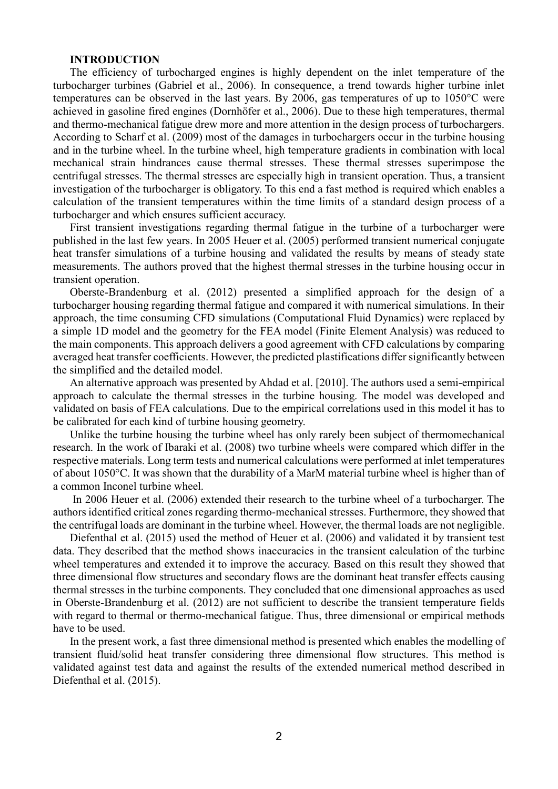#### INTRODUCTION

The efficiency of turbocharged engines is highly dependent on the inlet temperature of the turbocharger turbines (Gabriel et al., 2006). In consequence, a trend towards higher turbine inlet temperatures can be observed in the last years. By 2006, gas temperatures of up to 1050°C were achieved in gasoline fired engines (Dornhöfer et al., 2006). Due to these high temperatures, thermal and thermo-mechanical fatigue drew more and more attention in the design process of turbochargers. According to Scharf et al. (2009) most of the damages in turbochargers occur in the turbine housing and in the turbine wheel. In the turbine wheel, high temperature gradients in combination with local mechanical strain hindrances cause thermal stresses. These thermal stresses superimpose the centrifugal stresses. The thermal stresses are especially high in transient operation. Thus, a transient investigation of the turbocharger is obligatory. To this end a fast method is required which enables a calculation of the transient temperatures within the time limits of a standard design process of a turbocharger and which ensures sufficient accuracy.

First transient investigations regarding thermal fatigue in the turbine of a turbocharger were published in the last few years. In 2005 Heuer et al. (2005) performed transient numerical conjugate heat transfer simulations of a turbine housing and validated the results by means of steady state measurements. The authors proved that the highest thermal stresses in the turbine housing occur in transient operation.

Oberste-Brandenburg et al. (2012) presented a simplified approach for the design of a turbocharger housing regarding thermal fatigue and compared it with numerical simulations. In their approach, the time consuming CFD simulations (Computational Fluid Dynamics) were replaced by a simple 1D model and the geometry for the FEA model (Finite Element Analysis) was reduced to the main components. This approach delivers a good agreement with CFD calculations by comparing averaged heat transfer coefficients. However, the predicted plastifications differ significantly between the simplified and the detailed model.

An alternative approach was presented by Ahdad et al. [2010]. The authors used a semi-empirical approach to calculate the thermal stresses in the turbine housing. The model was developed and validated on basis of FEA calculations. Due to the empirical correlations used in this model it has to be calibrated for each kind of turbine housing geometry.

Unlike the turbine housing the turbine wheel has only rarely been subject of thermomechanical research. In the work of Ibaraki et al. (2008) two turbine wheels were compared which differ in the respective materials. Long term tests and numerical calculations were performed at inlet temperatures of about 1050°C. It was shown that the durability of a MarM material turbine wheel is higher than of a common Inconel turbine wheel.

 In 2006 Heuer et al. (2006) extended their research to the turbine wheel of a turbocharger. The authors identified critical zones regarding thermo-mechanical stresses. Furthermore, they showed that the centrifugal loads are dominant in the turbine wheel. However, the thermal loads are not negligible.

Diefenthal et al. (2015) used the method of Heuer et al. (2006) and validated it by transient test data. They described that the method shows inaccuracies in the transient calculation of the turbine wheel temperatures and extended it to improve the accuracy. Based on this result they showed that three dimensional flow structures and secondary flows are the dominant heat transfer effects causing thermal stresses in the turbine components. They concluded that one dimensional approaches as used in Oberste-Brandenburg et al. (2012) are not sufficient to describe the transient temperature fields with regard to thermal or thermo-mechanical fatigue. Thus, three dimensional or empirical methods have to be used.

In the present work, a fast three dimensional method is presented which enables the modelling of transient fluid/solid heat transfer considering three dimensional flow structures. This method is validated against test data and against the results of the extended numerical method described in Diefenthal et al. (2015).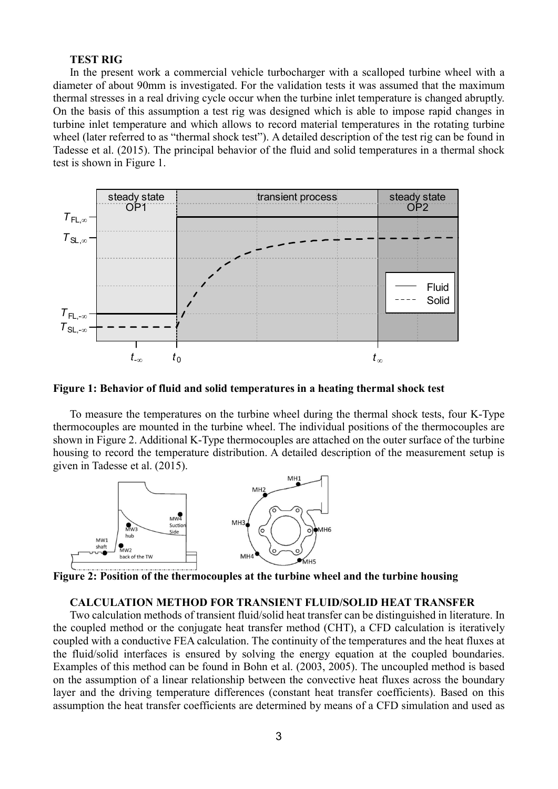## TEST RIG

In the present work a commercial vehicle turbocharger with a scalloped turbine wheel with a diameter of about 90mm is investigated. For the validation tests it was assumed that the maximum thermal stresses in a real driving cycle occur when the turbine inlet temperature is changed abruptly. On the basis of this assumption a test rig was designed which is able to impose rapid changes in turbine inlet temperature and which allows to record material temperatures in the rotating turbine wheel (later referred to as "thermal shock test"). A detailed description of the test rig can be found in Tadesse et al. (2015). The principal behavior of the fluid and solid temperatures in a thermal shock test is shown in Figure 1. the turbocharger with a scalloped turbine wheel with a<br>the validation tests it was assumed that the maximum<br>when the turbine inlet temperature is changed abruptly.<br>as designed which is able to impose rapid changes in<br>to r



Figure 1: Behavior of fluid and solid temperatures in a heating thermal shock test

To measure the temperatures on the turbine wheel during the thermal shock tests, four K-Type thermocouples are mounted in the turbine wheel. The individual positions of the thermocouples are shown in Figure 2. Additional K-Type thermocouples are attached on the outer surface of the turbine housing to record the temperature distribution. A detailed description of the measurement setup is given in Tadesse et al. (2015).



Figure 2: Position of the thermocouples at the turbine wheel and the turbine housing

#### CALCULATION METHOD FOR TRANSIENT FLUID/SOLID HEAT TRANSFER

Two calculation methods of transient fluid/solid heat transfer can be distinguished in literature. In the coupled method or the conjugate heat transfer method (CHT), a CFD calculation is iteratively coupled with a conductive FEA calculation. The continuity of the temperatures and the heat fluxes at the fluid/solid interfaces is ensured by solving the energy equation at the coupled boundaries. Examples of this method can be found in Bohn et al. (2003, 2005). The uncoupled method is based on the assumption of a linear relationship between the convective heat fluxes across the boundary layer and the driving temperature differences (constant heat transfer coefficients). Based on this assumption the heat transfer coefficients are determined by means of a CFD simulation and used as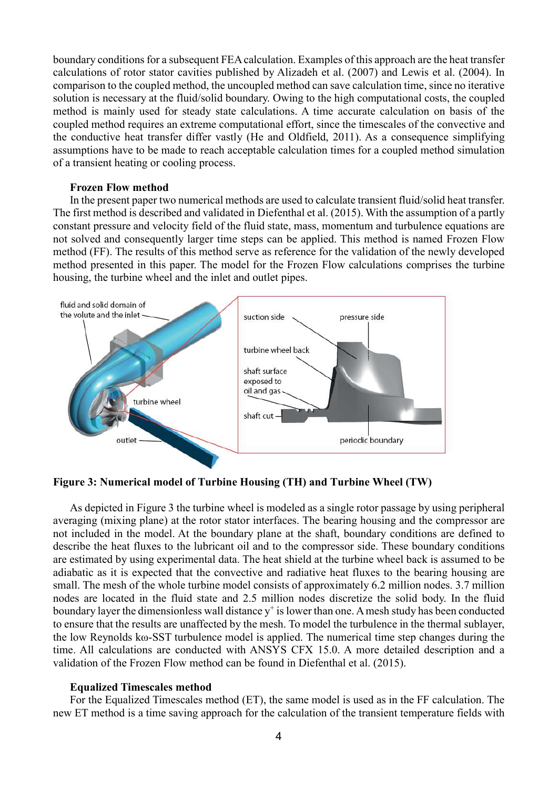boundary conditions for a subsequent FEA calculation. Examples of this approach are the heat transfer calculations of rotor stator cavities published by Alizadeh et al. (2007) and Lewis et al. (2004). In comparison to the coupled method, the uncoupled method can save calculation time, since no iterative solution is necessary at the fluid/solid boundary. Owing to the high computational costs, the coupled method is mainly used for steady state calculations. A time accurate calculation on basis of the coupled method requires an extreme computational effort, since the timescales of the convective and the conductive heat transfer differ vastly (He and Oldfield, 2011). As a consequence simplifying assumptions have to be made to reach acceptable calculation times for a coupled method simulation of a transient heating or cooling process.

## Frozen Flow method

In the present paper two numerical methods are used to calculate transient fluid/solid heat transfer. The first method is described and validated in Diefenthal et al. (2015). With the assumption of a partly constant pressure and velocity field of the fluid state, mass, momentum and turbulence equations are not solved and consequently larger time steps can be applied. This method is named Frozen Flow method (FF). The results of this method serve as reference for the validation of the newly developed method presented in this paper. The model for the Frozen Flow calculations comprises the turbine housing, the turbine wheel and the inlet and outlet pipes.



Figure 3: Numerical model of Turbine Housing (TH) and Turbine Wheel (TW)

As depicted in Figure 3 the turbine wheel is modeled as a single rotor passage by using peripheral averaging (mixing plane) at the rotor stator interfaces. The bearing housing and the compressor are not included in the model. At the boundary plane at the shaft, boundary conditions are defined to describe the heat fluxes to the lubricant oil and to the compressor side. These boundary conditions are estimated by using experimental data. The heat shield at the turbine wheel back is assumed to be adiabatic as it is expected that the convective and radiative heat fluxes to the bearing housing are small. The mesh of the whole turbine model consists of approximately 6.2 million nodes. 3.7 million nodes are located in the fluid state and 2.5 million nodes discretize the solid body. In the fluid boundary layer the dimensionless wall distance  $y^+$  is lower than one. A mesh study has been conducted to ensure that the results are unaffected by the mesh. To model the turbulence in the thermal sublayer, the low Reynolds kω-SST turbulence model is applied. The numerical time step changes during the time. All calculations are conducted with ANSYS CFX 15.0. A more detailed description and a validation of the Frozen Flow method can be found in Diefenthal et al. (2015).

#### Equalized Timescales method

For the Equalized Timescales method (ET), the same model is used as in the FF calculation. The new ET method is a time saving approach for the calculation of the transient temperature fields with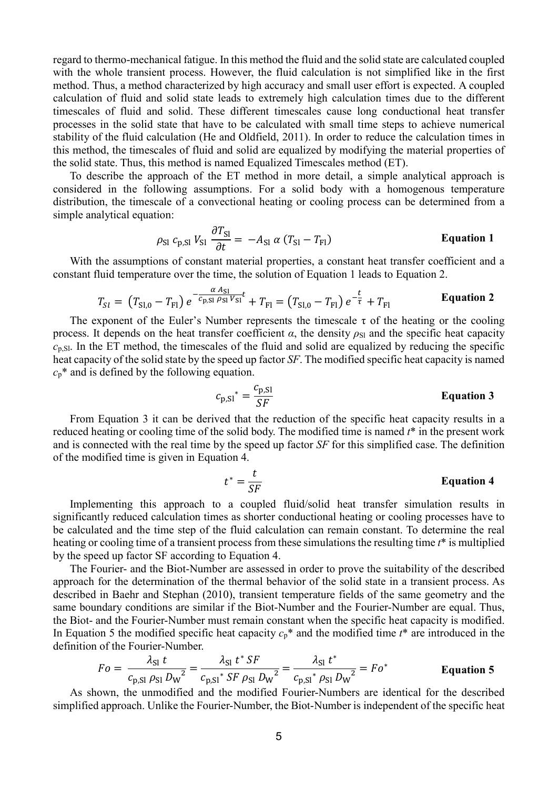regard to thermo-mechanical fatigue. In this method the fluid and the solid state are calculated coupled with the whole transient process. However, the fluid calculation is not simplified like in the first method. Thus, a method characterized by high accuracy and small user effort is expected. A coupled calculation of fluid and solid state leads to extremely high calculation times due to the different timescales of fluid and solid. These different timescales cause long conductional heat transfer processes in the solid state that have to be calculated with small time steps to achieve numerical stability of the fluid calculation (He and Oldfield, 2011). In order to reduce the calculation times in this method, the timescales of fluid and solid are equalized by modifying the material properties of the solid state. Thus, this method is named Equalized Timescales method (ET).

To describe the approach of the ET method in more detail, a simple analytical approach is considered in the following assumptions. For a solid body with a homogenous temperature distribution, the timescale of a convectional heating or cooling process can be determined from a simple analytical equation:

$$
\rho_{\rm SI} \, c_{\rm p,SI} \, V_{\rm SI} \, \frac{\partial T_{\rm SI}}{\partial t} = -A_{\rm SI} \, \alpha \, (T_{\rm SI} - T_{\rm FI}) \qquad \qquad \text{Equation 1}
$$

With the assumptions of constant material properties, a constant heat transfer coefficient and a constant fluid temperature over the time, the solution of Equation 1 leads to Equation 2.

$$
T_{SI} = (T_{SI,0} - T_{FI}) e^{-\frac{\alpha A_{SI}}{C_{p,SI} \rho_{SI} V_{SI}} t} + T_{FI} = (T_{SI,0} - T_{FI}) e^{-\frac{t}{\tau}} + T_{FI}
$$
 Equation 2

The exponent of the Euler's Number represents the timescale  $\tau$  of the heating or the cooling process. It depends on the heat transfer coefficient  $\alpha$ , the density  $\rho_{\rm SI}$  and the specific heat capacity  $c_{p,SI}$ . In the ET method, the timescales of the fluid and solid are equalized by reducing the specific heat capacity of the solid state by the speed up factor SF. The modified specific heat capacity is named  $c_p^*$  and is defined by the following equation.

$$
c_{p,SI}^* = \frac{c_{p,SI}}{SF}
$$
 Equation 3

From Equation 3 it can be derived that the reduction of the specific heat capacity results in a reduced heating or cooling time of the solid body. The modified time is named  $t^*$  in the present work and is connected with the real time by the speed up factor SF for this simplified case. The definition of the modified time is given in Equation 4.

$$
t^* = \frac{t}{SF}
$$
 Equation 4

Implementing this approach to a coupled fluid/solid heat transfer simulation results in significantly reduced calculation times as shorter conductional heating or cooling processes have to be calculated and the time step of the fluid calculation can remain constant. To determine the real heating or cooling time of a transient process from these simulations the resulting time  $t^*$  is multiplied by the speed up factor SF according to Equation 4.

The Fourier- and the Biot-Number are assessed in order to prove the suitability of the described approach for the determination of the thermal behavior of the solid state in a transient process. As described in Baehr and Stephan (2010), transient temperature fields of the same geometry and the same boundary conditions are similar if the Biot-Number and the Fourier-Number are equal. Thus, the Biot- and the Fourier-Number must remain constant when the specific heat capacity is modified. In Equation 5 the modified specific heat capacity  $c_p^*$  and the modified time  $t^*$  are introduced in the definition of the Fourier-Number.

$$
Fo = \frac{\lambda_{\rm SI} t}{c_{\rm p,SI} \rho_{\rm SI} D_{\rm W}^2} = \frac{\lambda_{\rm SI} t^* S F}{c_{\rm p,SI}^* S F \rho_{\rm SI} D_{\rm W}^2} = \frac{\lambda_{\rm SI} t^*}{c_{\rm p,SI}^* \rho_{\rm SI} D_{\rm W}^2} = Fo^*
$$
 Equation 5

As shown, the unmodified and the modified Fourier-Numbers are identical for the described simplified approach. Unlike the Fourier-Number, the Biot-Number is independent of the specific heat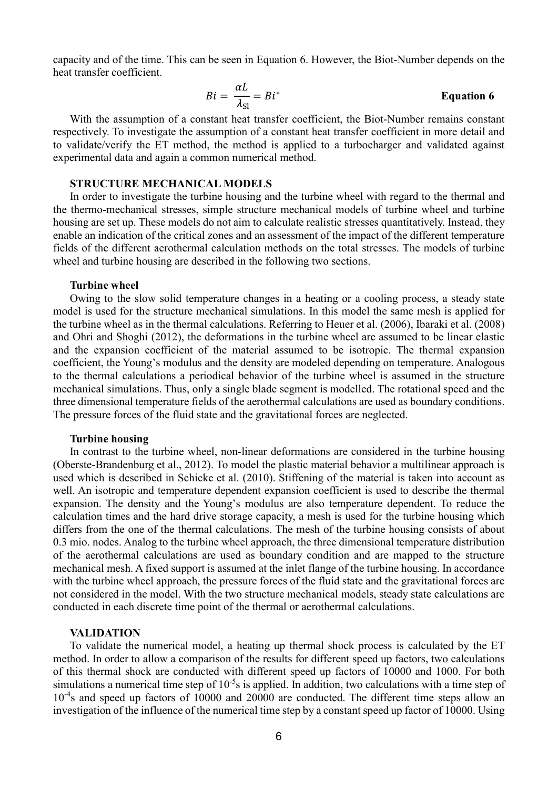capacity and of the time. This can be seen in Equation 6. However, the Biot-Number depends on the heat transfer coefficient.

$$
Bi = \frac{\alpha L}{\lambda_{\rm SI}} = Bi^*
$$
 Equation 6

With the assumption of a constant heat transfer coefficient, the Biot-Number remains constant respectively. To investigate the assumption of a constant heat transfer coefficient in more detail and to validate/verify the ET method, the method is applied to a turbocharger and validated against experimental data and again a common numerical method.

## STRUCTURE MECHANICAL MODELS

In order to investigate the turbine housing and the turbine wheel with regard to the thermal and the thermo-mechanical stresses, simple structure mechanical models of turbine wheel and turbine housing are set up. These models do not aim to calculate realistic stresses quantitatively. Instead, they enable an indication of the critical zones and an assessment of the impact of the different temperature fields of the different aerothermal calculation methods on the total stresses. The models of turbine wheel and turbine housing are described in the following two sections.

# Turbine wheel

Owing to the slow solid temperature changes in a heating or a cooling process, a steady state model is used for the structure mechanical simulations. In this model the same mesh is applied for the turbine wheel as in the thermal calculations. Referring to Heuer et al. (2006), Ibaraki et al. (2008) and Ohri and Shoghi (2012), the deformations in the turbine wheel are assumed to be linear elastic and the expansion coefficient of the material assumed to be isotropic. The thermal expansion coefficient, the Young's modulus and the density are modeled depending on temperature. Analogous to the thermal calculations a periodical behavior of the turbine wheel is assumed in the structure mechanical simulations. Thus, only a single blade segment is modelled. The rotational speed and the three dimensional temperature fields of the aerothermal calculations are used as boundary conditions. The pressure forces of the fluid state and the gravitational forces are neglected.

#### Turbine housing

In contrast to the turbine wheel, non-linear deformations are considered in the turbine housing (Oberste-Brandenburg et al., 2012). To model the plastic material behavior a multilinear approach is used which is described in Schicke et al. (2010). Stiffening of the material is taken into account as well. An isotropic and temperature dependent expansion coefficient is used to describe the thermal expansion. The density and the Young's modulus are also temperature dependent. To reduce the calculation times and the hard drive storage capacity, a mesh is used for the turbine housing which differs from the one of the thermal calculations. The mesh of the turbine housing consists of about 0.3 mio. nodes. Analog to the turbine wheel approach, the three dimensional temperature distribution of the aerothermal calculations are used as boundary condition and are mapped to the structure mechanical mesh. A fixed support is assumed at the inlet flange of the turbine housing. In accordance with the turbine wheel approach, the pressure forces of the fluid state and the gravitational forces are not considered in the model. With the two structure mechanical models, steady state calculations are conducted in each discrete time point of the thermal or aerothermal calculations.

## VALIDATION

To validate the numerical model, a heating up thermal shock process is calculated by the ET method. In order to allow a comparison of the results for different speed up factors, two calculations of this thermal shock are conducted with different speed up factors of 10000 and 1000. For both simulations a numerical time step of  $10^{-5}$ s is applied. In addition, two calculations with a time step of 10<sup>-4</sup>s and speed up factors of 10000 and 20000 are conducted. The different time steps allow an investigation of the influence of the numerical time step by a constant speed up factor of 10000. Using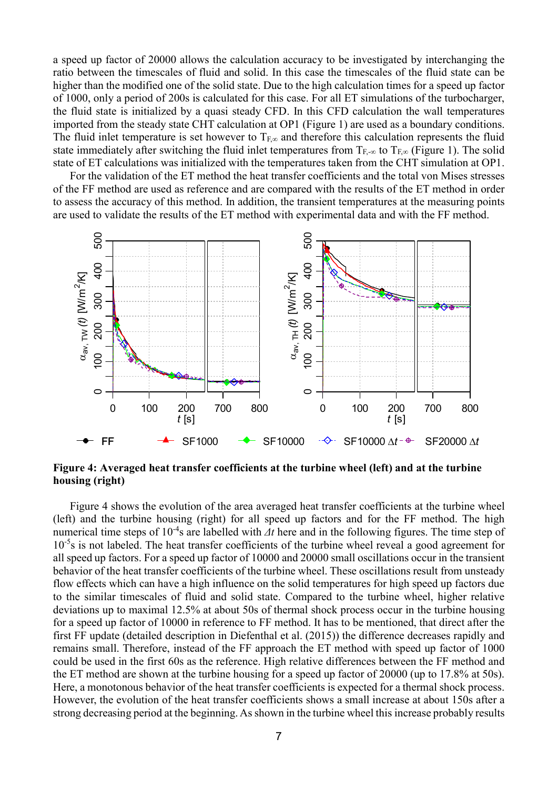a speed up factor of 20000 allows the calculation accuracy to be investigated by interchanging the ratio between the timescales of fluid and solid. In this case the timescales of the fluid state can be higher than the modified one of the solid state. Due to the high calculation times for a speed up factor of 1000, only a period of 200s is calculated for this case. For all ET simulations of the turbocharger, the fluid state is initialized by a quasi steady CFD. In this CFD calculation the wall temperatures imported from the steady state CHT calculation at OP1 (Figure 1) are used as a boundary conditions. The fluid inlet temperature is set however to  $T_{F,\infty}$  and therefore this calculation represents the fluid state immediately after switching the fluid inlet temperatures from  $T_{F,\infty}$  to  $T_{F,\infty}$  (Figure 1). The solid state of ET calculations was initialized with the temperatures taken from the CHT simulation at OP1.

For the validation of the ET method the heat transfer coefficients and the total von Mises stresses of the FF method are used as reference and are compared with the results of the ET method in order to assess the accuracy of this method. In addition, the transient temperatures at the measuring points are used to validate the results of the ET method with experimental data and with the FF method.



Figure 4: Averaged heat transfer coefficients at the turbine wheel (left) and at the turbine housing (right)

Figure 4 shows the evolution of the area averaged heat transfer coefficients at the turbine wheel (left) and the turbine housing (right) for all speed up factors and for the FF method. The high numerical time steps of  $10^{-4}$ s are labelled with  $\Delta t$  here and in the following figures. The time step of  $10^{-5}$ s is not labeled. The heat transfer coefficients of the turbine wheel reveal a good agreement for all speed up factors. For a speed up factor of 10000 and 20000 small oscillations occur in the transient behavior of the heat transfer coefficients of the turbine wheel. These oscillations result from unsteady flow effects which can have a high influence on the solid temperatures for high speed up factors due to the similar timescales of fluid and solid state. Compared to the turbine wheel, higher relative deviations up to maximal 12.5% at about 50s of thermal shock process occur in the turbine housing for a speed up factor of 10000 in reference to FF method. It has to be mentioned, that direct after the first FF update (detailed description in Diefenthal et al. (2015)) the difference decreases rapidly and remains small. Therefore, instead of the FF approach the ET method with speed up factor of 1000 could be used in the first 60s as the reference. High relative differences between the FF method and the ET method are shown at the turbine housing for a speed up factor of 20000 (up to 17.8% at 50s). Here, a monotonous behavior of the heat transfer coefficients is expected for a thermal shock process. However, the evolution of the heat transfer coefficients shows a small increase at about 150s after a strong decreasing period at the beginning. As shown in the turbine wheel this increase probably results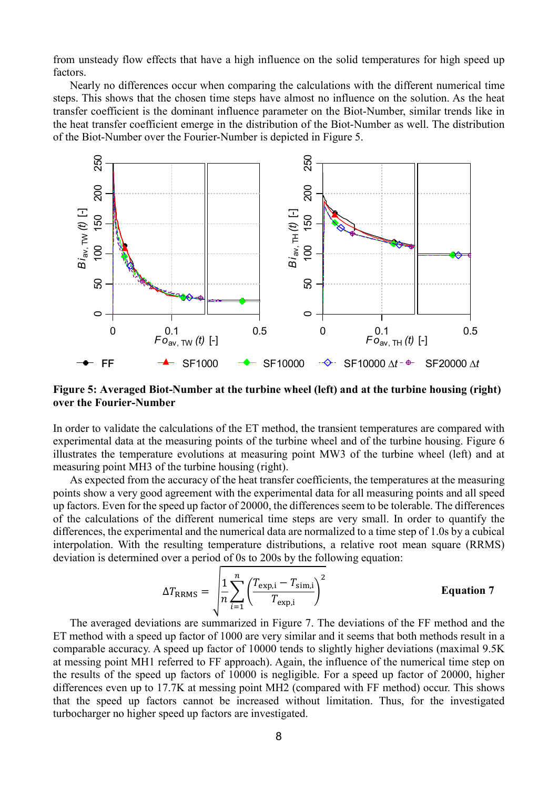from unsteady flow effects that have a high influence on the solid temperatures for high speed up factors.

Nearly no differences occur when comparing the calculations with the different numerical time steps. This shows that the chosen time steps have almost no influence on the solution. As the heat transfer coefficient is the dominant influence parameter on the Biot-Number, similar trends like in the heat transfer coefficient emerge in the distribution of the Biot-Number as well. The distribution of the Biot-Number over the Fourier-Number is depicted in Figure 5.



Figure 5: Averaged Biot-Number at the turbine wheel (left) and at the turbine housing (right) over the Fourier-Number

In order to validate the calculations of the ET method, the transient temperatures are compared with experimental data at the measuring points of the turbine wheel and of the turbine housing. Figure 6 illustrates the temperature evolutions at measuring point MW3 of the turbine wheel (left) and at measuring point MH3 of the turbine housing (right).

As expected from the accuracy of the heat transfer coefficients, the temperatures at the measuring points show a very good agreement with the experimental data for all measuring points and all speed up factors. Even for the speed up factor of 20000, the differences seem to be tolerable. The differences of the calculations of the different numerical time steps are very small. In order to quantify the differences, the experimental and the numerical data are normalized to a time step of 1.0s by a cubical interpolation. With the resulting temperature distributions, a relative root mean square (RRMS) deviation is determined over a period of 0s to 200s by the following equation:

$$
\Delta T_{\text{RRMS}} = \sqrt{\frac{1}{n} \sum_{i=1}^{n} \left( \frac{T_{\text{exp,i}} - T_{\text{sim,i}}}{T_{\text{exp,i}}} \right)^2}
$$
 Equation 7

The averaged deviations are summarized in Figure 7. The deviations of the FF method and the ET method with a speed up factor of 1000 are very similar and it seems that both methods result in a comparable accuracy. A speed up factor of 10000 tends to slightly higher deviations (maximal 9.5K at messing point MH1 referred to FF approach). Again, the influence of the numerical time step on the results of the speed up factors of 10000 is negligible. For a speed up factor of 20000, higher differences even up to 17.7K at messing point MH2 (compared with FF method) occur. This shows that the speed up factors cannot be increased without limitation. Thus, for the investigated turbocharger no higher speed up factors are investigated.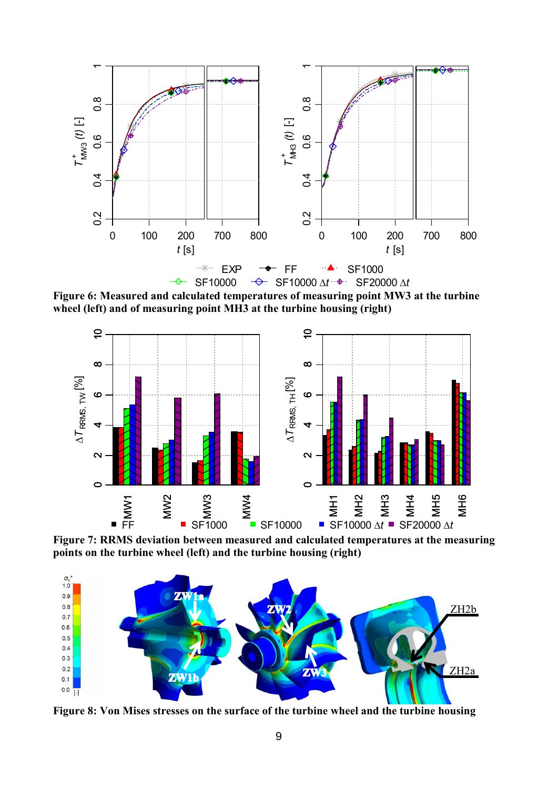

Figure 6: Measured and calculated temperatures of measuring point MW3 at the turbine wheel (left) and of measuring point MH3 at the turbine housing (right)



Figure 7: RRMS deviation between measured and calculated temperatures at the measuring points on the turbine wheel (left) and the turbine housing (right)



Figure 8: Von Mises stresses on the surface of the turbine wheel and the turbine housing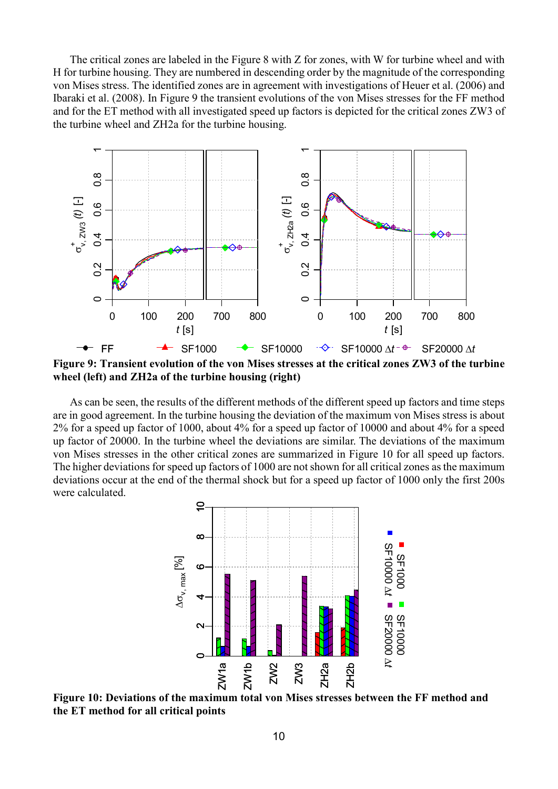The critical zones are labeled in the Figure 8 with Z for zones, with W for turbine wheel and with H for turbine housing. They are numbered in descending order by the magnitude of the corresponding von Mises stress. The identified zones are in agreement with investigations of Heuer et al. (2006) and Ibaraki et al. (2008). In Figure 9 the transient evolutions of the von Mises stresses for the FF method and for the ET method with all investigated speed up factors is depicted for the critical zones ZW3 of the turbine wheel and ZH2a for the turbine housing.



Figure 9: Transient evolution of the von Mises stresses at the critical zones ZW3 of the turbine wheel (left) and ZH2a of the turbine housing (right)

As can be seen, the results of the different methods of the different speed up factors and time steps are in good agreement. In the turbine housing the deviation of the maximum von Mises stress is about 2% for a speed up factor of 1000, about 4% for a speed up factor of 10000 and about 4% for a speed up factor of 20000. In the turbine wheel the deviations are similar. The deviations of the maximum von Mises stresses in the other critical zones are summarized in Figure 10 for all speed up factors. The higher deviations for speed up factors of 1000 are not shown for all critical zones as the maximum deviations occur at the end of the thermal shock but for a speed up factor of 1000 only the first 200s were calculated.



Figure 10: Deviations of the maximum total von Mises stresses between the FF method and the ET method for all critical points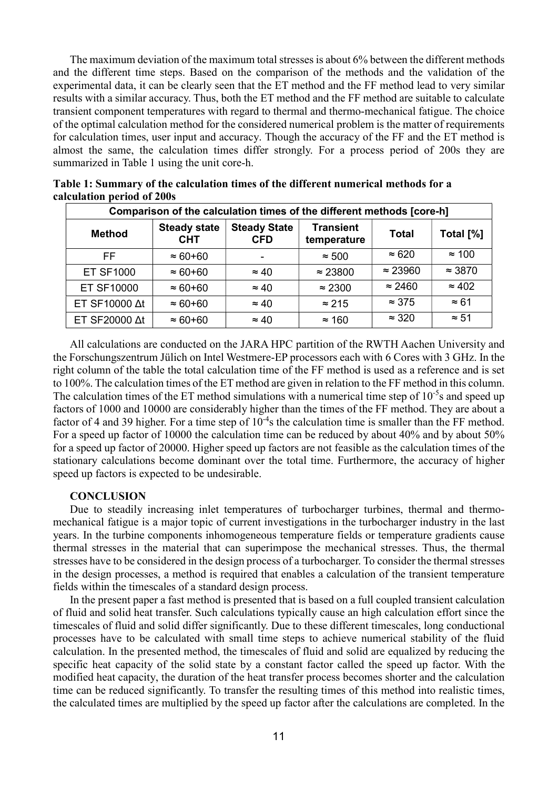The maximum deviation of the maximum total stresses is about 6% between the different methods and the different time steps. Based on the comparison of the methods and the validation of the experimental data, it can be clearly seen that the ET method and the FF method lead to very similar results with a similar accuracy. Thus, both the ET method and the FF method are suitable to calculate transient component temperatures with regard to thermal and thermo-mechanical fatigue. The choice of the optimal calculation method for the considered numerical problem is the matter of requirements for calculation times, user input and accuracy. Though the accuracy of the FF and the ET method is almost the same, the calculation times differ strongly. For a process period of 200s they are summarized in Table 1 using the unit core-h.

| Comparison of the calculation times of the different methods [core-h] |                                   |                                   |                                 |                 |                |  |  |
|-----------------------------------------------------------------------|-----------------------------------|-----------------------------------|---------------------------------|-----------------|----------------|--|--|
| <b>Method</b>                                                         | <b>Steady state</b><br><b>CHT</b> | <b>Steady State</b><br><b>CFD</b> | <b>Transient</b><br>temperature | <b>Total</b>    | Total [%]      |  |  |
| FF.                                                                   | $\approx 60 + 60$                 |                                   | $\approx 500$                   | $\approx 620$   | $\approx$ 100  |  |  |
| <b>ET SF1000</b>                                                      | $\approx 60 + 60$                 | $\approx 40$                      | $\approx 23800$                 | $\approx 23960$ | $\approx$ 3870 |  |  |
| <b>ET SF10000</b>                                                     | $\approx 60 + 60$                 | $\approx 40$                      | $\approx$ 2300                  | $\approx$ 2460  | $\approx 402$  |  |  |
| ET SF10000 Δt                                                         | $\approx 60 + 60$                 | $\approx 40$                      | $\approx$ 215                   | $\approx$ 375   | $\approx 61$   |  |  |
| ET SF20000 Δt                                                         | $\approx 60 + 60$                 | $\approx 40$                      | $\approx$ 160                   | $\approx 320$   | $\approx 51$   |  |  |

Table 1: Summary of the calculation times of the different numerical methods for a calculation period of 200s

All calculations are conducted on the JARA HPC partition of the RWTH Aachen University and the Forschungszentrum Jülich on Intel Westmere-EP processors each with 6 Cores with 3 GHz. In the right column of the table the total calculation time of the FF method is used as a reference and is set to 100%. The calculation times of the ET method are given in relation to the FF method in this column. The calculation times of the ET method simulations with a numerical time step of  $10^{-5}$ s and speed up factors of 1000 and 10000 are considerably higher than the times of the FF method. They are about a factor of 4 and 39 higher. For a time step of  $10^{-4}$ s the calculation time is smaller than the FF method. For a speed up factor of 10000 the calculation time can be reduced by about 40% and by about 50% for a speed up factor of 20000. Higher speed up factors are not feasible as the calculation times of the stationary calculations become dominant over the total time. Furthermore, the accuracy of higher speed up factors is expected to be undesirable.

## **CONCLUSION**

Due to steadily increasing inlet temperatures of turbocharger turbines, thermal and thermomechanical fatigue is a major topic of current investigations in the turbocharger industry in the last years. In the turbine components inhomogeneous temperature fields or temperature gradients cause thermal stresses in the material that can superimpose the mechanical stresses. Thus, the thermal stresses have to be considered in the design process of a turbocharger. To consider the thermal stresses in the design processes, a method is required that enables a calculation of the transient temperature fields within the timescales of a standard design process.

In the present paper a fast method is presented that is based on a full coupled transient calculation of fluid and solid heat transfer. Such calculations typically cause an high calculation effort since the timescales of fluid and solid differ significantly. Due to these different timescales, long conductional processes have to be calculated with small time steps to achieve numerical stability of the fluid calculation. In the presented method, the timescales of fluid and solid are equalized by reducing the specific heat capacity of the solid state by a constant factor called the speed up factor. With the modified heat capacity, the duration of the heat transfer process becomes shorter and the calculation time can be reduced significantly. To transfer the resulting times of this method into realistic times, the calculated times are multiplied by the speed up factor after the calculations are completed. In the